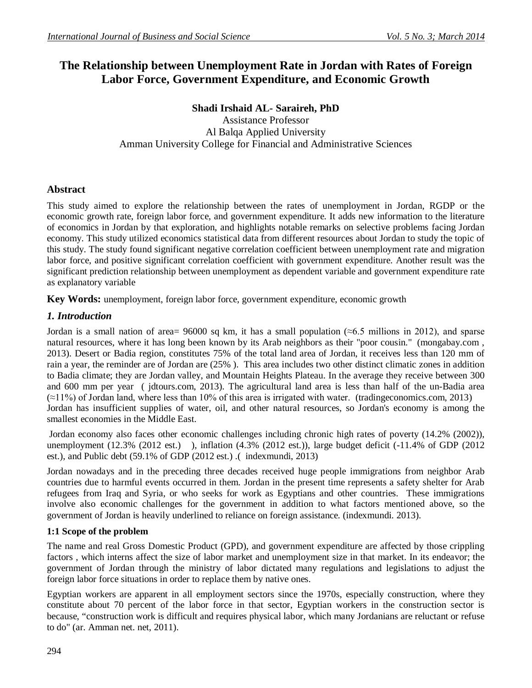# **The Relationship between Unemployment Rate in Jordan with Rates of Foreign Labor Force, Government Expenditure, and Economic Growth**

**Shadi Irshaid AL- Saraireh, PhD** Assistance Professor Al Balqa Applied University Amman University College for Financial and Administrative Sciences

# **Abstract**

This study aimed to explore the relationship between the rates of unemployment in Jordan, RGDP or the economic growth rate, foreign labor force, and government expenditure. It adds new information to the literature of economics in Jordan by that exploration, and highlights notable remarks on selective problems facing Jordan economy. This study utilized economics statistical data from different resources about Jordan to study the topic of this study. The study found significant negative correlation coefficient between unemployment rate and migration labor force, and positive significant correlation coefficient with government expenditure. Another result was the significant prediction relationship between unemployment as dependent variable and government expenditure rate as explanatory variable

**Key Words:** unemployment, foreign labor force, government expenditure, economic growth

# *1. Introduction*

Jordan is a small nation of area= 96000 sq km, it has a small population ( $\approx$ 6.5 millions in 2012), and sparse natural resources, where it has long been known by its Arab neighbors as their "poor cousin." (mongabay.com , 2013). Desert or Badia region, constitutes 75% of the total land area of Jordan, it receives less than 120 mm of rain a year, the reminder are of Jordan are (25% ). This area includes two other distinct climatic zones in addition to Badia climate; they are Jordan valley, and Mountain Heights Plateau. In the average they receive between 300 and 600 mm per year ( jdtours.com, 2013). The agricultural land area is less than half of the un-Badia area (≈11%) of Jordan land, where less than 10% of this area is irrigated with water. (tradingeconomics.com, 2013) Jordan has insufficient supplies of water, oil, and other natural resources, so Jordan's economy is among the smallest economies in the Middle East.

Jordan economy also faces other economic challenges including chronic high rates of poverty (14.2% (2002)), unemployment (12.3% (2012 est.) ), inflation (4.3% (2012 est.)), large budget deficit (-11.4% of GDP (2012 est.), and Public debt (59.1% of GDP (2012 est.) .( indexmundi, 2013)

Jordan nowadays and in the preceding three decades received huge people immigrations from neighbor Arab countries due to harmful events occurred in them. Jordan in the present time represents a safety shelter for Arab refugees from Iraq and Syria, or who seeks for work as Egyptians and other countries. These immigrations involve also economic challenges for the government in addition to what factors mentioned above, so the government of Jordan is heavily underlined to reliance on foreign assistance. (indexmundi. 2013).

# **1:1 Scope of the problem**

The name and real Gross Domestic Product (GPD), and government expenditure are affected by those crippling factors , which interns affect the size of labor market and unemployment size in that market. In its endeavor; the government of Jordan through the ministry of labor dictated many regulations and legislations to adjust the foreign labor force situations in order to replace them by native ones.

Egyptian workers are apparent in all employment sectors since the 1970s, especially construction, where they constitute about 70 percent of the labor force in that sector, Egyptian workers in the construction sector is because, "construction work is difficult and requires physical labor, which many Jordanians are reluctant or refuse to do" (ar. Amman net. net, 2011).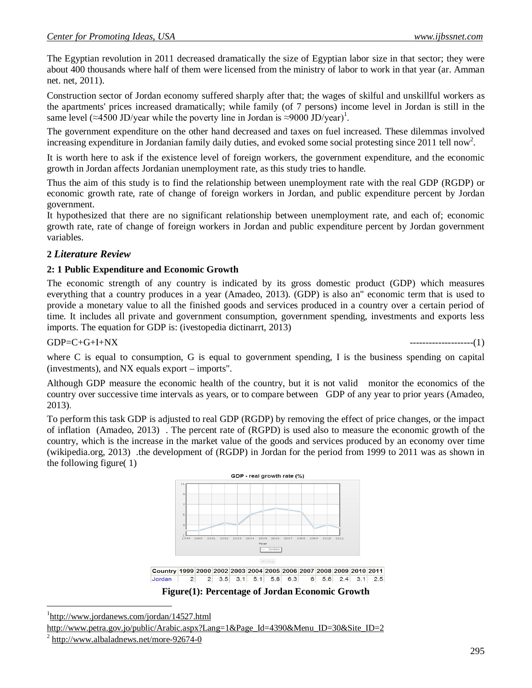The Egyptian revolution in 2011 decreased dramatically the size of Egyptian labor size in that sector; they were about 400 thousands where half of them were licensed from the ministry of labor to work in that year (ar. Amman net. net, 2011).

Construction sector of Jordan economy suffered sharply after that; the wages of skilful and unskillful workers as the apartments' prices increased dramatically; while family (of 7 persons) income level in Jordan is still in the same level (≈4500 JD/year while the poverty line in Jordan is  $\approx$ 9000 JD/year)<sup>1</sup>.

The government expenditure on the other hand decreased and taxes on fuel increased. These dilemmas involved increasing expenditure in Jordanian family daily duties, and evoked some social protesting since  $2011$  tell now<sup>2</sup>.

It is worth here to ask if the existence level of foreign workers, the government expenditure, and the economic growth in Jordan affects Jordanian unemployment rate, as this study tries to handle.

Thus the aim of this study is to find the relationship between unemployment rate with the real GDP (RGDP) or economic growth rate, rate of change of foreign workers in Jordan, and public expenditure percent by Jordan government.

It hypothesized that there are no significant relationship between unemployment rate, and each of; economic growth rate, rate of change of foreign workers in Jordan and public expenditure percent by Jordan government variables.

# **2** *Literature Review*

#### **2: 1 Public Expenditure and Economic Growth**

The economic strength of any country is indicated by its gross domestic product (GDP) which measures everything that a country produces in a year (Amadeo, 2013). (GDP) is also an" economic term that is used to provide a monetary value to all the finished goods and services produced in a country over a certain period of time. It includes all private and government consumption, government spending, investments and exports less imports. The equation for GDP is: (ivestopedia dictinarrt, 2013)

GDP=C+G+I+NX --------------------(1)

where C is equal to consumption, G is equal to government spending, I is the business spending on capital (investments), and NX equals export – imports".

Although GDP measure the economic health of the country, but it is not valid monitor the economics of the country over successive time intervals as years, or to compare between GDP of any year to prior years (Amadeo, 2013).

To perform this task GDP is adjusted to real GDP (RGDP) by removing the effect of price changes, or the impact of inflation (Amadeo, 2013) . The percent rate of (RGPD) is used also to measure the economic growth of the country, which is the increase in the market value of the goods and services produced by an economy over time (wikipedia.org, 2013) .the development of (RGDP) in Jordan for the period from 1999 to 2011 was as shown in the following figure( 1)



<sup>1</sup>http://www.jordanews.com/jordan/14527.html

http://www.petra.gov.jo/public/Arabic.aspx?Lang=1&Page\_Id=4390&Menu\_ID=30&Site\_ID=2

 $\overline{a}$ 

<sup>2</sup> http://www.albaladnews.net/more-92674-0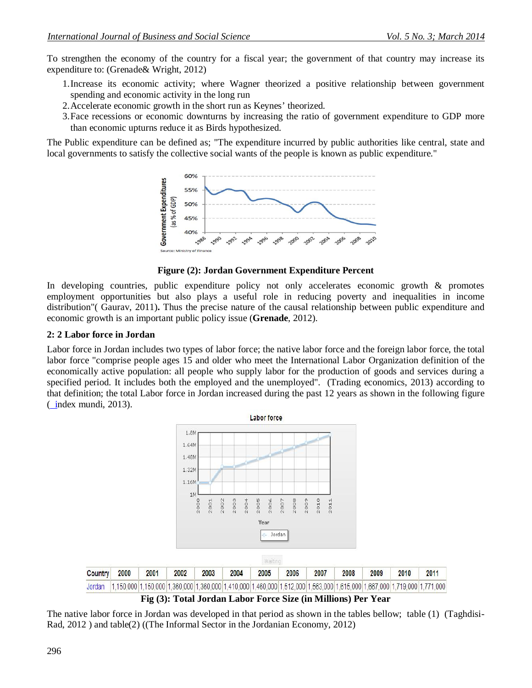To strengthen the economy of the country for a fiscal year; the government of that country may increase its expenditure to: (Grenade& Wright, 2012)

- 1.Increase its economic activity; where Wagner theorized a positive relationship between government spending and economic activity in the long run
- 2.Accelerate economic growth in the short run as Keynes' theorized.
- 3.Face recessions or economic downturns by increasing the ratio of government expenditure to GDP more than economic upturns reduce it as Birds hypothesized.

The Public expenditure can be defined as; "The expenditure incurred by public authorities like central, state and local governments to satisfy the collective social wants of the people is known as public expenditure."



# **Figure (2): Jordan Government Expenditure Percent**

In developing countries, public expenditure policy not only accelerates economic growth  $\&$  promotes employment opportunities but also plays a useful role in reducing poverty and inequalities in income distribution"( Gaurav, 2011)**.** Thus the precise nature of the causal relationship between public expenditure and economic growth is an important public policy issue (**Grenade**, 2012).

# **2: 2 Labor force in Jordan**

Labor force in Jordan includes two types of labor force; the native labor force and the foreign labor force, the total labor force "comprise people ages 15 and older who meet the International Labor Organization definition of the economically active population: all people who supply labor for the production of goods and services during a specified period. It includes both the employed and the unemployed". (Trading economics, 2013) according to that definition; the total Labor force in Jordan increased during the past 12 years as shown in the following figure ( index mundi, 2013).



**Fig (3): Total Jordan Labor Force Size (in Millions) Per Year**

The native labor force in Jordan was developed in that period as shown in the tables bellow; table (1) (Taghdisi-Rad, 2012 ) and table(2) ((The Informal Sector in the Jordanian Economy, 2012)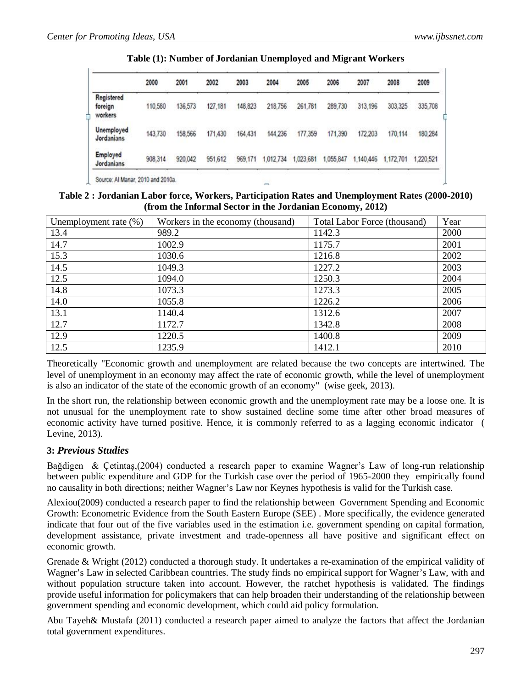|                                  | 2000    | 2001    | 2002    | 2003    | 2004      | 2005      | 2006      | 2007      | 2008      | 2009      |
|----------------------------------|---------|---------|---------|---------|-----------|-----------|-----------|-----------|-----------|-----------|
| Registered<br>foreign<br>workers | 110,580 | 136,573 | 127,181 | 148.823 | 218,756   | 261.781   | 289,730   | 313,196   | 303,325   | 335,708   |
| <b>Unemployed</b><br>Jordanians  | 143,730 | 158,566 | 171,430 | 164,431 | 144,236   | 177,359   | 171,390   | 172.203   | 170,114   | 180,284   |
| Employed<br>Jordanians           | 908,314 | 920.042 | 951,612 | 969,171 | 1,012,734 | 1,023,681 | 1,055,847 | 1.140,446 | 1,172,701 | 1,220,521 |

|  |  |  |  |  |  |  |  |  |  |  |  |  |  |  |  | Table (1): Number of Jordanian Unemployed and Migrant Workers |  |  |
|--|--|--|--|--|--|--|--|--|--|--|--|--|--|--|--|---------------------------------------------------------------|--|--|
|--|--|--|--|--|--|--|--|--|--|--|--|--|--|--|--|---------------------------------------------------------------|--|--|

Source: Al Manar, 2010 and 2010a.

**Table 2 : Jordanian Labor force, Workers, Participation Rates and Unemployment Rates (2000-2010) (from the Informal Sector in the Jordanian Economy, 2012)**

| Unemployment rate $(\%)$ | Workers in the economy (thousand) | Total Labor Force (thousand) | Year |
|--------------------------|-----------------------------------|------------------------------|------|
| 13.4                     | 989.2                             | 1142.3                       | 2000 |
| 14.7                     | 1002.9                            | 1175.7                       | 2001 |
| 15.3                     | 1030.6                            | 1216.8                       | 2002 |
| 14.5                     | 1049.3                            | 1227.2                       | 2003 |
| 12.5                     | 1094.0                            | 1250.3                       | 2004 |
| 14.8                     | 1073.3                            | 1273.3                       | 2005 |
| 14.0                     | 1055.8                            | 1226.2                       | 2006 |
| 13.1                     | 1140.4                            | 1312.6                       | 2007 |
| 12.7                     | 1172.7                            | 1342.8                       | 2008 |
| 12.9                     | 1220.5                            | 1400.8                       | 2009 |
| 12.5                     | 1235.9                            | 1412.1                       | 2010 |

Theoretically "Economic growth and unemployment are related because the two concepts are intertwined. The level of unemployment in an economy may affect the rate of economic growth, while the level of unemployment is also an indicator of the state of the economic growth of an economy" (wise geek, 2013).

In the short run, the relationship between economic growth and the unemployment rate may be a loose one. It is not unusual for the unemployment rate to show sustained decline some time after other broad measures of economic activity have turned positive. Hence, it is commonly referred to as a lagging economic indicator ( Levine, 2013).

# **3:** *Previous Studies*

Bağdigen & Çetintaş,(2004) conducted a research paper to examine Wagner's Law of long-run relationship between public expenditure and GDP for the Turkish case over the period of 1965-2000 they empirically found no causality in both directions; neither Wagner's Law nor Keynes hypothesis is valid for the Turkish case.

Alexiou(2009) conducted a research paper to find the relationship between Government Spending and Economic Growth: Econometric Evidence from the South Eastern Europe (SEE) . More specifically, the evidence generated indicate that four out of the five variables used in the estimation i.e. government spending on capital formation, development assistance, private investment and trade-openness all have positive and significant effect on economic growth.

Grenade & Wright (2012) conducted a thorough study. It undertakes a re-examination of the empirical validity of Wagner's Law in selected Caribbean countries. The study finds no empirical support for Wagner's Law, with and without population structure taken into account. However, the ratchet hypothesis is validated. The findings provide useful information for policymakers that can help broaden their understanding of the relationship between government spending and economic development, which could aid policy formulation.

Abu Tayeh& Mustafa (2011) conducted a research paper aimed to analyze the factors that affect the Jordanian total government expenditures.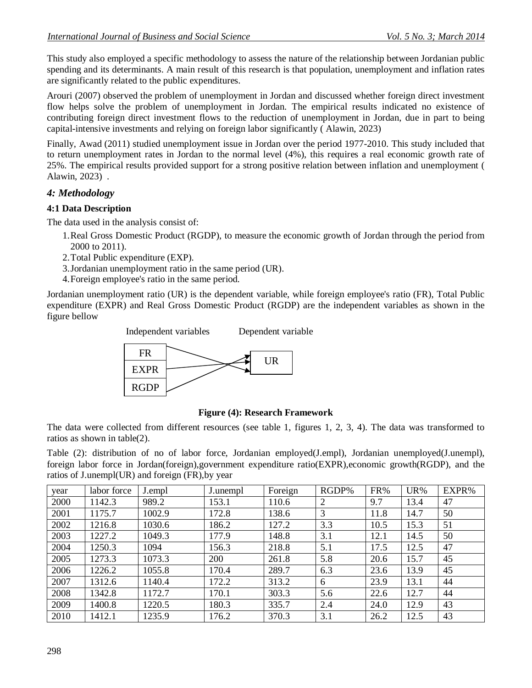This study also employed a specific methodology to assess the nature of the relationship between Jordanian public spending and its determinants. A main result of this research is that population, unemployment and inflation rates are significantly related to the public expenditures.

Arouri (2007) observed the problem of unemployment in Jordan and discussed whether foreign direct investment flow helps solve the problem of unemployment in Jordan. The empirical results indicated no existence of contributing foreign direct investment flows to the reduction of unemployment in Jordan, due in part to being capital-intensive investments and relying on foreign labor significantly ( Alawin, 2023)

Finally, Awad (2011) studied unemployment issue in Jordan over the period 1977-2010. This study included that to return unemployment rates in Jordan to the normal level (4%), this requires a real economic growth rate of 25%. The empirical results provided support for a strong positive relation between inflation and unemployment ( Alawin, 2023) .

# *4: Methodology*

# **4:1 Data Description**

The data used in the analysis consist of:

- 1.Real Gross Domestic Product (RGDP), to measure the economic growth of Jordan through the period from 2000 to 2011).
- 2.Total Public expenditure (EXP).
- 3.Jordanian unemployment ratio in the same period (UR).
- 4.Foreign employee's ratio in the same period.

Jordanian unemployment ratio (UR) is the dependent variable, while foreign employee's ratio (FR), Total Public expenditure (EXPR) and Real Gross Domestic Product (RGDP) are the independent variables as shown in the figure bellow

Independent variables Dependent variable



# **Figure (4): Research Framework**

The data were collected from different resources (see table 1, figures 1, 2, 3, 4). The data was transformed to ratios as shown in table(2).

Table (2): distribution of no of labor force, Jordanian employed(J.empl), Jordanian unemployed(J.unempl), foreign labor force in Jordan(foreign),government expenditure ratio(EXPR),economic growth(RGDP), and the ratios of J.unempl(UR) and foreign (FR),by year

| year | labor force | J.empl | J.unempl | Foreign | RGDP% | FR%  | UR%  | EXPR% |
|------|-------------|--------|----------|---------|-------|------|------|-------|
| 2000 | 1142.3      | 989.2  | 153.1    | 110.6   | 2     | 9.7  | 13.4 | 47    |
| 2001 | 1175.7      | 1002.9 | 172.8    | 138.6   | 3     | 11.8 | 14.7 | 50    |
| 2002 | 1216.8      | 1030.6 | 186.2    | 127.2   | 3.3   | 10.5 | 15.3 | 51    |
| 2003 | 1227.2      | 1049.3 | 177.9    | 148.8   | 3.1   | 12.1 | 14.5 | 50    |
| 2004 | 1250.3      | 1094   | 156.3    | 218.8   | 5.1   | 17.5 | 12.5 | 47    |
| 2005 | 1273.3      | 1073.3 | 200      | 261.8   | 5.8   | 20.6 | 15.7 | 45    |
| 2006 | 1226.2      | 1055.8 | 170.4    | 289.7   | 6.3   | 23.6 | 13.9 | 45    |
| 2007 | 1312.6      | 1140.4 | 172.2    | 313.2   | 6     | 23.9 | 13.1 | 44    |
| 2008 | 1342.8      | 1172.7 | 170.1    | 303.3   | 5.6   | 22.6 | 12.7 | 44    |
| 2009 | 1400.8      | 1220.5 | 180.3    | 335.7   | 2.4   | 24.0 | 12.9 | 43    |
| 2010 | 1412.1      | 1235.9 | 176.2    | 370.3   | 3.1   | 26.2 | 12.5 | 43    |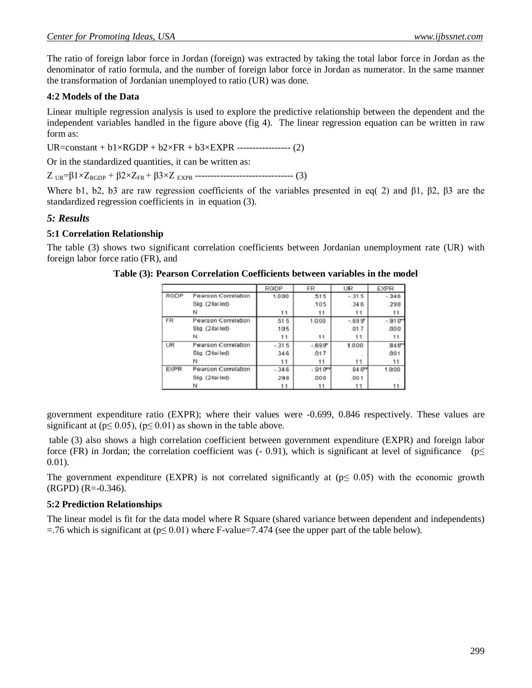The ratio of foreign labor force in Jordan (foreign) was extracted by taking the total labor force in Jordan as the denominator of ratio formula, and the number of foreign labor force in Jordan as numerator. In the same manner the transformation of Jordanian unemployed to ratio (UR) was done.

#### **4:2 Models of the Data**

Linear multiple regression analysis is used to explore the predictive relationship between the dependent and the independent variables handled in the figure above (fig 4). The linear regression equation can be written in raw form as:

 $UR = constant + b1 \times RGB$  +  $b2 \times FR + b3 \times EXPR$  ------------------ (2)

Or in the standardized quantities, it can be written as:

Z UR=β1×ZRGDP + β2×ZFR + β3×Z EXPR ------------------------------- (3)

Where b1, b2, b3 are raw regression coefficients of the variables presented in eq( 2) and β1, β2, β3 are the standardized regression coefficients in in equation (3).

# *5: Results*

#### **5:1 Correlation Relationship**

The table (3) shows two significant correlation coefficients between Jordanian unemployment rate (UR) with foreign labor force ratio (FR), and

|             |                     | RGDP   | FR       | UR       | <b>EXPR</b> |
|-------------|---------------------|--------|----------|----------|-------------|
| RGDP        | Pearson Correlation | 1.000  | .515     | $-.315$  | $-346$      |
|             | Sig. (2-tailed)     |        | .105     | .346     | .298        |
|             | N                   | 11     | 11       | 11       | 11          |
| FR          | Pearson Correlation | .515   | 1.000    | $-0.699$ | $-910"$     |
|             | Sig. (2-tailed)     | .105   |          | .017     | .000        |
|             | N                   | 11     | 11       | 11       | 11          |
| UR          | Pearson Correlation | $-315$ | $-699''$ | 1.000    | .846"       |
|             | Sig. (2-tailed)     | .346   | .017     |          | .001        |
|             | N                   | 11     |          | 11       |             |
| <b>EXPR</b> | Pearson Correlation | $-346$ | $-910nd$ | .84 8**  | 1.000       |
|             | Sig. (2-tailed)     | .298   | .000     | .001     |             |
|             | N                   |        |          | 11       |             |

**Table (3): Pearson Correlation Coefficients between variables in the model**

government expenditure ratio (EXPR); where their values were -0.699, 0.846 respectively. These values are significant at ( $p \le 0.05$ ), ( $p \le 0.01$ ) as shown in the table above.

table (3) also shows a high correlation coefficient between government expenditure (EXPR) and foreign labor force (FR) in Jordan; the correlation coefficient was  $(-0.91)$ , which is significant at level of significance (p 0.01).

The government expenditure (EXPR) is not correlated significantly at ( $p \le 0.05$ ) with the economic growth (RGPD) (R=-0.346).

#### **5:2 Prediction Relationships**

The linear model is fit for the data model where R Square (shared variance between dependent and independents) =.76 which is significant at ( $p \le 0.01$ ) where F-value=7.474 (see the upper part of the table below).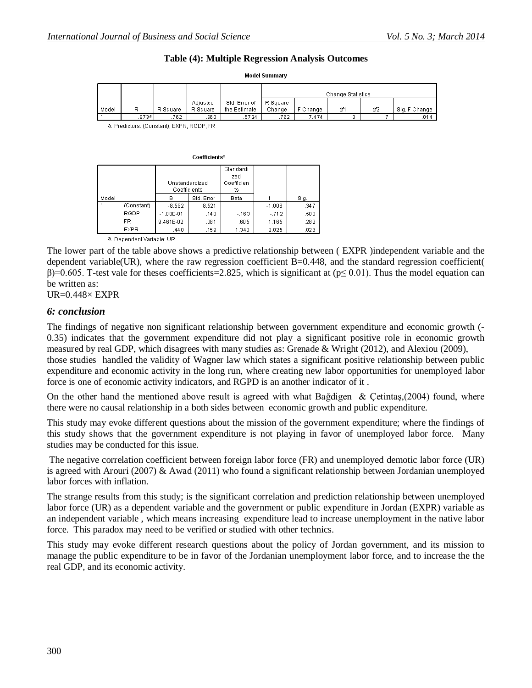# **Table (4): Multiple Regression Analysis Outcomes Model Summary**

|       |      |          |          |               | Change Statistics |          |     |     |               |  |  |  |  |
|-------|------|----------|----------|---------------|-------------------|----------|-----|-----|---------------|--|--|--|--|
|       |      |          | Adjusted | Std. Error of | R Square          |          |     |     |               |  |  |  |  |
| Model | R    | R Square | R Square | the Estimate  | Change            | F Change | df1 | df2 | Sig. F Change |  |  |  |  |
|       | 873ª | 762      | .660     | .5724         | 762               | 7.474    |     |     | .014          |  |  |  |  |

a. Predictors: (Constant), EXPR, RGDP, FR

#### Coefficientsª Standardi zed Unstandardized Coefficien Coefficients ts Model  $\overline{B}$ Std. Error Beta Sig. (Constant)  $-1.008$  $-8.597$ 8.521 347 RGDP  $-1.00F - 01$  $.140$  $-163$  $-712$ 500 **FR** 9.461F-02 1.165 28.2 081 60.5 **EXPR** 448 159 1.340 2.825 026 a. Dependent Variable: UR

The lower part of the table above shows a predictive relationship between ( EXPR )independent variable and the dependent variable(UR), where the raw regression coefficient B=0.448, and the standard regression coefficient(  $β$ )=0.605. T-test vale for theses coefficients=2.825, which is significant at ( $p ≤ 0.01$ ). Thus the model equation can be written as:

 $UR=0.448\times EXPR$ 

#### *6: conclusion*

The findings of negative non significant relationship between government expenditure and economic growth (- 0.35) indicates that the government expenditure did not play a significant positive role in economic growth measured by real GDP, which disagrees with many studies as: Grenade & Wright (2012), and Alexiou (2009),

those studies handled the validity of Wagner law which states a significant positive relationship between public expenditure and economic activity in the long run, where creating new labor opportunities for unemployed labor force is one of economic activity indicators, and RGPD is an another indicator of it .

On the other hand the mentioned above result is agreed with what Bağdigen & Çetintaş,(2004) found, where there were no causal relationship in a both sides between economic growth and public expenditure.

This study may evoke different questions about the mission of the government expenditure; where the findings of this study shows that the government expenditure is not playing in favor of unemployed labor force. Many studies may be conducted for this issue.

The negative correlation coefficient between foreign labor force (FR) and unemployed demotic labor force (UR) is agreed with Arouri (2007) & Awad (2011) who found a significant relationship between Jordanian unemployed labor forces with inflation.

The strange results from this study; is the significant correlation and prediction relationship between unemployed labor force (UR) as a dependent variable and the government or public expenditure in Jordan (EXPR) variable as an independent variable , which means increasing expenditure lead to increase unemployment in the native labor force. This paradox may need to be verified or studied with other technics.

This study may evoke different research questions about the policy of Jordan government, and its mission to manage the public expenditure to be in favor of the Jordanian unemployment labor force, and to increase the the real GDP, and its economic activity.